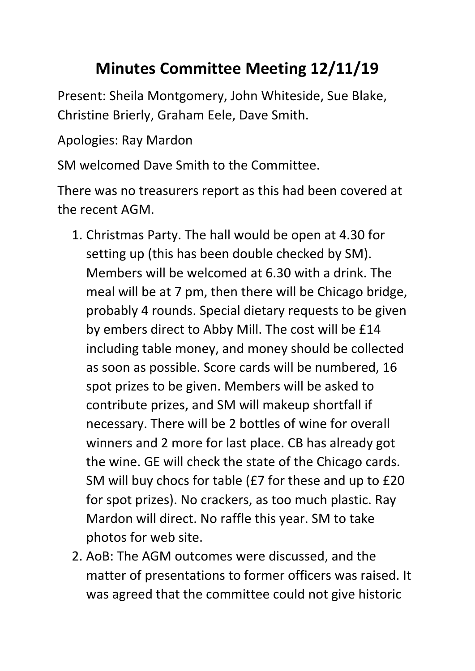## **Minutes Committee Meeting 12/11/19**

Present: Sheila Montgomery, John Whiteside, Sue Blake, Christine Brierly, Graham Eele, Dave Smith.

Apologies: Ray Mardon

SM welcomed Dave Smith to the Committee.

There was no treasurers report as this had been covered at the recent AGM.

- 1. Christmas Party. The hall would be open at 4.30 for setting up (this has been double checked by SM). Members will be welcomed at 6.30 with a drink. The meal will be at 7 pm, then there will be Chicago bridge, probably 4 rounds. Special dietary requests to be given by embers direct to Abby Mill. The cost will be £14 including table money, and money should be collected as soon as possible. Score cards will be numbered, 16 spot prizes to be given. Members will be asked to contribute prizes, and SM will makeup shortfall if necessary. There will be 2 bottles of wine for overall winners and 2 more for last place. CB has already got the wine. GE will check the state of the Chicago cards. SM will buy chocs for table (£7 for these and up to £20 for spot prizes). No crackers, as too much plastic. Ray Mardon will direct. No raffle this year. SM to take photos for web site.
- 2. AoB: The AGM outcomes were discussed, and the matter of presentations to former officers was raised. It was agreed that the committee could not give historic